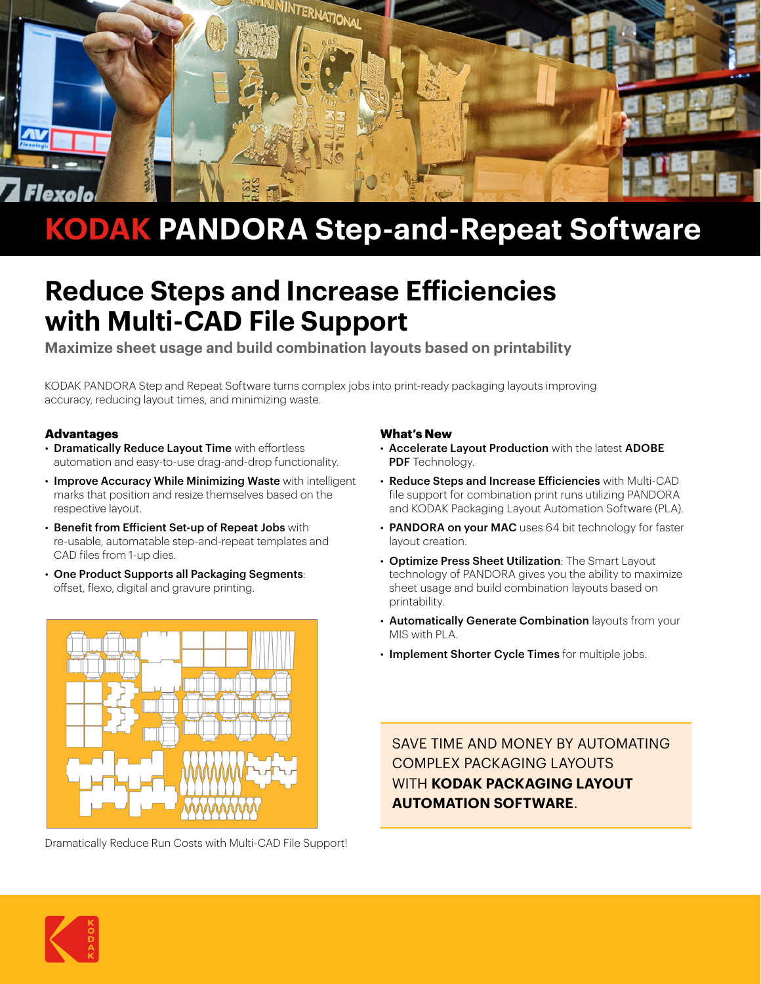

# **KODAK PANDORA Step-and-Repeat Software**

## **Reduce Steps and Increase Efficiencies with Multi-CAD File Support**

**Maximize sheet usage and build combination layouts based on printability**

KODAK PANDORA Step and Repeat Software turns complex jobs into print-ready packaging layouts improving accuracy, reducing layout times, and minimizing waste.

#### **Advantages**

- Dramatically Reduce Layout Time with effortless automation and easy-to-use drag-and-drop functionality.
- Improve Accuracy While Minimizing Waste with intelligent marks that position and resize themselves based on the respective layout.
- Benefit from Efficient Set-up of Repeat Jobs with re-usable, automatable step-and-repeat templates and CAD files from 1-up dies.
- One Product Supports all Packaging Segments: offset, flexo, digital and gravure printing.



Dramatically Reduce Run Costs with Multi-CAD File Support!

#### **What's New**

- Accelerate Layout Production with the latest ADOBE PDF Technology.
- Reduce Steps and Increase Efficiencies with Multi-CAD file support for combination print runs utilizing PANDORA and KODAK Packaging Layout Automation Software (PLA).
- PANDORA on your MAC uses 64 bit technology for faster layout creation.
- Optimize Press Sheet Utilization: The Smart Layout technology of PANDORA gives you the ability to maximize sheet usage and build combination layouts based on printability.
- Automatically Generate Combination layouts from your MIS with PLA
- Implement Shorter Cycle Times for multiple jobs.

SAVE TIME AND MONEY BY AUTOMATING COMPLEX PACKAGING LAYOUTS WITH **KODAK PACKAGING LAYOUT AUTOMATION SOFTWARE**.